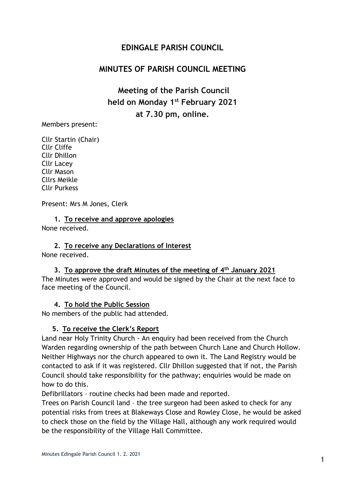# **EDINGALE PARISH COUNCIL**

# **MINUTES OF PARISH COUNCIL MEETING**

**Meeting of the Parish Council held on Monday 1 st February 2021 at 7.30 pm, online.**

Members present:

Cllr Startin (Chair) Cllr Cliffe Cllr Dhillon Cllr Lacey Cllr Mason Cllrs Meikle Cllr Purkess

Present: Mrs M Jones, Clerk

**1. To receive and approve apologies** None received.

**2. To receive any Declarations of Interest**

None received.

**3. To approve the draft Minutes of the meeting of 4 th January 2021** The Minutes were approved and would be signed by the Chair at the next face to face meeting of the Council.

#### **4. To hold the Public Session**

No members of the public had attended.

#### **5. To receive the Clerk's Report**

Land near Holy Trinity Church - An enquiry had been received from the Church Warden regarding ownership of the path between Church Lane and Church Hollow. Neither Highways nor the church appeared to own it. The Land Registry would be contacted to ask if it was registered. Cllr Dhillon suggested that if not, the Parish Council should take responsibility for the pathway; enquiries would be made on how to do this.

Defibrillators – routine checks had been made and reported.

Trees on Parish Council land – the tree surgeon had been asked to check for any potential risks from trees at Blakeways Close and Rowley Close, he would be asked to check those on the field by the Village Hall, although any work required would be the responsibility of the Village Hall Committee.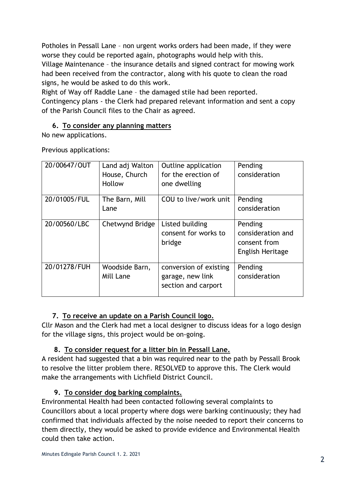Potholes in Pessall Lane – non urgent works orders had been made, if they were worse they could be reported again, photographs would help with this. Village Maintenance – the insurance details and signed contract for mowing work had been received from the contractor, along with his quote to clean the road signs, he would be asked to do this work.

Right of Way off Raddle Lane – the damaged stile had been reported.

Contingency plans - the Clerk had prepared relevant information and sent a copy of the Parish Council files to the Chair as agreed.

### **6. To consider any planning matters**

No new applications.

Previous applications:

| 20/00647/OUT | Land adj Walton | Outline application    | Pending           |
|--------------|-----------------|------------------------|-------------------|
|              | House, Church   | for the erection of    | consideration     |
|              | Hollow          | one dwelling           |                   |
| 20/01005/FUL | The Barn, Mill  | COU to live/work unit  | Pending           |
|              | Lane            |                        | consideration     |
| 20/00560/LBC | Chetwynd Bridge | Listed building        | Pending           |
|              |                 | consent for works to   | consideration and |
|              |                 | bridge                 | consent from      |
|              |                 |                        | English Heritage  |
| 20/01278/FUH | Woodside Barn,  | conversion of existing | Pending           |
|              | Mill Lane       | garage, new link       | consideration     |
|              |                 | section and carport    |                   |

## **7. To receive an update on a Parish Council logo.**

Cllr Mason and the Clerk had met a local designer to discuss ideas for a logo design for the village signs, this project would be on-going.

## **8. To consider request for a litter bin in Pessall Lane.**

A resident had suggested that a bin was required near to the path by Pessall Brook to resolve the litter problem there. RESOLVED to approve this. The Clerk would make the arrangements with Lichfield District Council.

## **9. To consider dog barking complaints.**

Environmental Health had been contacted following several complaints to Councillors about a local property where dogs were barking continuously; they had confirmed that individuals affected by the noise needed to report their concerns to them directly, they would be asked to provide evidence and Environmental Health could then take action.